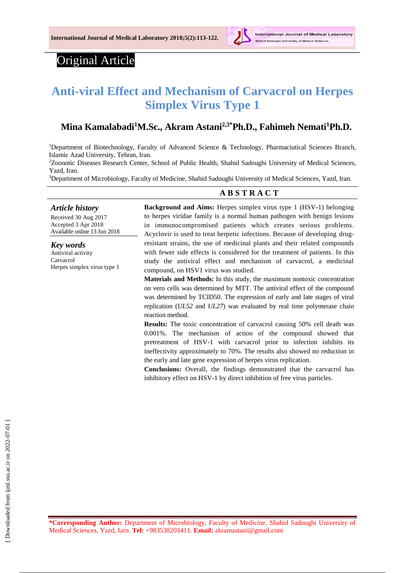

# Original Article

# **Anti-viral Effect and Mechanism of Carvacrol on Herpes Simplex Virus Type 1**

#### **Mina Kamalabadi<sup>1</sup>M.Sc., Akram Astani2,3\*Ph.D., Fahimeh Nemati<sup>1</sup>Ph.D.**

<sup>1</sup>Department of Biotechnology, Faculty of Advanced Science & Technology, Pharmaciutical Sciences Branch, Islamic Azad University, Tehran, Iran.

<sup>2</sup>Zoonotic Diseases Research Center, School of Public Health, Shahid Sadoughi University of Medical Sciences, Yazd, Iran.

<sup>3</sup>Department of Microbiology, Faculty of Medicine, Shahid Sadoughi University of Medical Sciences, Yazd, Iran.

## *Article history*

Received 30 Aug 2017 Accepted 3 Apr 2018 Available online 13 Jun 2018

*Key words* Antiviral activity Carvacrol Herpes simplex virus type 1

# **A B S T R A C T**

**Background and Aims:** Herpes simplex virus type 1 (HSV-1) belonging to herpes viridae family is a normal human pathogen with benign lesions in immunocompromised patients which creates serious problems. Acyclovir is used to treat herpetic infections. Because of developing drugresistant strains, the use of medicinal plants and their related compounds with fewer side effects is considered for the treatment of patients. In this study the antiviral effect and mechanism of carvacrol, a medicinal compound, on HSV1 virus was studied.

**Materials and Methods:** In this study, the maximum nontoxic concentration on vero cells was determined by MTT. The antiviral effect of the compound was determined by TCID50. The expression of early and late stages of viral replication (*UL52* and *UL27*) was evaluated by real time polymerase chain reaction method.

**Results:** The toxic concentration of carvacrol causing 50% cell death was 0.001%. The mechanism of action of the compound showed that pretreatment of HSV-1 with carvacrol prior to infection inhibits its ineffectivity approximately to 70%. The results also showed no reduction in the early and late gene expression of herpes virus replication.

**Conclusions:** Overall, the findings demonstrated that the carvacrol has inhibitory effect on HSV-1 by direct inhibition of free virus particles.

**\*Corresponding Author:** Department of Microbiology, Faculty of Medicine, Shahid Sadoughi University of Medical Sciences, Yazd, Iarn. **Tel:** +983538203411. **Email:** akramastani@gmail.com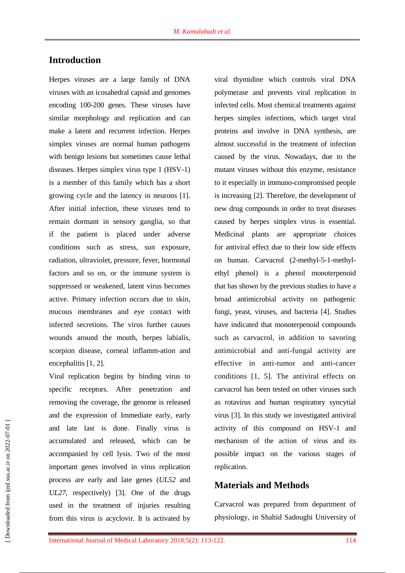### **Introduction**

Herpes viruses are a large family of DNA viruses with an icosahedral capsid and genomes encoding 100-200 genes. These viruses have similar morphology and replication and can make a latent and recurrent infection. Herpes simplex viruses are normal human pathogens with benign lesions but sometimes cause lethal diseases. Herpes simplex virus type 1 (HSV-1) is a member of this family which has a short growing cycle and the latency in neurons [1]. After initial infection, these viruses tend to remain dormant in sensory ganglia, so that if the patient is placed under adverse conditions such as stress, sun exposure, radiation, ultraviolet, pressure, fever, hormonal factors and so on, or the immune system is suppressed or weakened, latent virus becomes active. Primary infection occurs due to skin, mucous membranes and eye contact with infected secretions. The virus further causes wounds around the mouth, herpes labialis, scorpion disease, corneal inflamm-ation and encephalitis [1, 2].

Viral replication begins by binding virus to specific receptors. After penetration and removing the coverage, the genome is released and the expression of Immediate early, early and late last is done. Finally virus is accumulated and released, which can be accompanied by cell lysis. Two of the most important genes involved in virus replication process are early and late genes (*UL52* and *UL27*, respectively) [3]. One of the drugs used in the treatment of injuries resulting from this virus is acyclovir. It is activated by

viral thymidine which controls viral DNA polymerase and prevents viral replication in infected cells. Most chemical treatments against herpes simplex infections, which target viral proteins and involve in DNA synthesis, are almost successful in the treatment of infection caused by the virus. Nowadays, due to the mutant viruses without this enzyme, resistance to it especially in immuno-compromised people is increasing [2]. Therefore, the development of new drug compounds in order to treat diseases caused by herpes simplex virus is essential. Medicinal plants are appropriate choices for antiviral effect due to their low side effects on human. Carvacrol (2-methyl-5-1-methylethyl phenol) is a phenol monoterpenoid that has shown by the previous studies to have a broad antimicrobial activity on pathogenic fungi, yeast, viruses, and bacteria [4]. Studies have indicated that monoterpenoid compounds such as carvacrol, in addition to savoring antimicrobial and anti-fungal activity are effective in anti-tumor and anti-cancer conditions [1, 5]. The antiviral effects on carvacrol has been tested on other viruses such as rotavirus and human respiratory syncytial virus [3]. In this study we investigated antiviral activity of this compound on HSV-1 and mechanism of the action of virus and its possible impact on the various stages of replication.

#### **Materials and Methods**

Carvacrol was prepared from department of physiology, in Shahid Sadoughi University of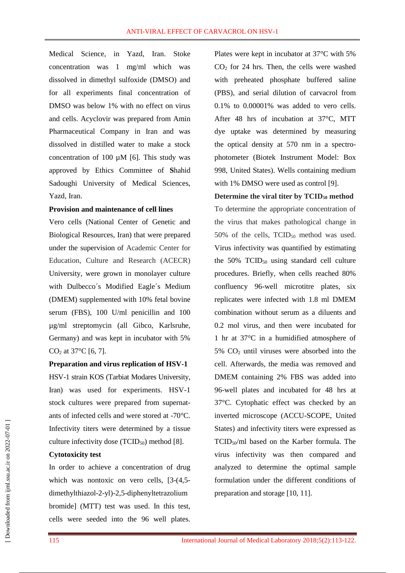Medical Science, in Yazd, Iran. Stoke concentration was 1 mg/ml which was dissolved in dimethyl sulfoxide (DMSO) and for all experiments final concentration of DMSO was below 1% with no effect on virus and cells. Acyclovir was prepared from Amin Pharmaceutical Company in Iran and was dissolved in distilled water to make a stock concentration of 100  $\mu$ M [6]. This study was approved by Ethics Committee of **S**hahid Sadoughi University of Medical Sciences, Yazd, Iran.

#### **Provision and maintenance of cell lines**

Vero cells (National Center of Genetic and Biological Resources, Iran) that were prepared under the supervision of Academic Center for Education, Culture and Research (ACECR) University, were grown in monolayer culture with Dulbecco´s Modified Eagle´s Medium (DMEM) supplemented with 10% fetal bovine serum (FBS), 100 U/ml penicillin and 100 µg/ml streptomycin (all Gibco, Karlsruhe, Germany) and was kept in incubator with 5%  $CO<sub>2</sub>$  at 37°C [6, 7].

#### **Preparation and virus replication of HSV-1**

HSV-1 strain KOS (Tarbiat Modares University, Iran) was used for experiments. HSV-1 stock cultures were prepared from supernatants of infected cells and were stored at -70°C. Infectivity titers were determined by a tissue culture infectivity dose  $(TCID<sub>50</sub>)$  method [8].

#### **Cytotoxicity test**

In order to achieve a concentration of drug which was nontoxic on vero cells, [3-(4,5dimethylthiazol-2-yl)-2,5-diphenyltetrazolium bromide] (MTT) test was used. In this test, cells were seeded into the 96 well plates.

Plates were kept in incubator at 37°C with 5%  $CO<sub>2</sub>$  for 24 hrs. Then, the cells were washed with preheated phosphate buffered saline (PBS), and serial dilution of carvacrol from 0.1% to 0.00001% was added to vero cells. After 48 hrs of incubation at 37°C, MTT dye uptake was determined by measuring the optical density at 570 nm in a spectrophotometer (Biotek Instrument Model: Box 998, United States). Wells containing medium with 1% DMSO were used as control [9].

#### **Determine the viral titer by TCID<sup>50</sup> method**

To determine the appropriate concentration of the virus that makes pathological change in 50% of the cells,  $TCID_{50}$  method was used. Virus infectivity was quantified by estimating the  $50\%$  TCID<sub>50</sub> using standard cell culture procedures. Briefly, when cells reached 80% confluency 96-well microtitre plates, six replicates were infected with 1.8 ml DMEM combination without serum as a diluents and 0.2 mol virus, and then were incubated for 1 hr at 37°C in a humidified atmosphere of 5%  $CO<sub>2</sub>$  until viruses were absorbed into the cell. Afterwards, the media was removed and DMEM containing 2% FBS was added into 96-well plates and incubated for 48 hrs at 37°C. Cytophatic effect was checked by an inverted microscope (ACCU-SCOPE, United States) and infectivity titers were expressed as TCID50/ml based on the Karber formula. The virus infectivity was then compared and analyzed to determine the optimal sample formulation under the different conditions of preparation and storage [10, 11].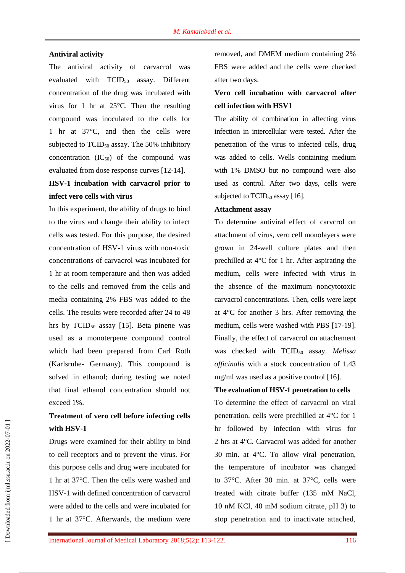#### **Antiviral activity**

The antiviral activity of carvacrol was evaluated with TCID<sub>50</sub> assay. Different concentration of the drug was incubated with virus for 1 hr at 25°C. Then the resulting compound was inoculated to the cells for 1 hr at 37°C, and then the cells were subjected to  $TCID_{50}$  assay. The 50% inhibitory concentration  $(IC_{50})$  of the compound was evaluated from dose response curves [12-14].

## **HSV-1 incubation with carvacrol prior to infect vero cells with virus**

In this experiment, the ability of drugs to bind to the virus and change their ability to infect cells was tested. For this purpose, the desired concentration of HSV-1 virus with non-toxic concentrations of carvacrol was incubated for 1 hr at room temperature and then was added to the cells and removed from the cells and media containing 2% FBS was added to the cells. The results were recorded after 24 to 48 hrs by  $TCID_{50}$  assay [15]. Beta pinene was used as a monoterpene compound control which had been prepared from Carl Roth (Karlsruhe- Germany). This compound is solved in ethanol; during testing we noted that final ethanol concentration should not exceed 1%.

## **Treatment of vero cell before infecting cells with HSV-1**

Drugs were examined for their ability to bind to cell receptors and to prevent the virus. For this purpose cells and drug were incubated for 1 hr at 37°C. Then the cells were washed and HSV-1 with defined concentration of carvacrol were added to the cells and were incubated for 1 hr at 37°C. Afterwards, the medium were

removed, and DMEM medium containing 2% FBS were added and the cells were checked after two days.

## **Vero cell incubation with carvacrol after cell infection with HSV1**

The ability of combination in affecting virus infection in intercellular were tested. After the penetration of the virus to infected cells, drug was added to cells. Wells containing medium with 1% DMSO but no compound were also used as control. After two days, cells were subjected to  $TCID_{50}$  assay [16].

#### **Attachment assay**

To determine antiviral effect of carvcrol on attachment of virus, vero cell monolayers were grown in 24-well culture plates and then prechilled at 4°C for 1 hr. After aspirating the medium, cells were infected with virus in the absence of the maximum noncytotoxic carvacrol concentrations. Then, cells were kept at 4°C for another 3 hrs. After removing the medium, cells were washed with PBS [17-19]. Finally, the effect of carvacrol on attachement was checked with TCID<sup>50</sup> assay. *Melissa officinalis* with a stock concentration of 1.43 mg/ml was used as a positive control [16].

#### **The evaluation of HSV-1 penetration to cells**

To determine the effect of carvacrol on viral penetration, cells were prechilled at 4°C for 1 hr followed by infection with virus for 2 hrs at 4°C. Carvacrol was added for another 30 min. at 4°C. To allow viral penetration, the temperature of incubator was changed to 37°C. After 30 min. at 37°C, cells were treated with citrate buffer (135 mM NaCl, 10 nM KCl, 40 mM sodium citrate, pH 3) to stop penetration and to inactivate attached,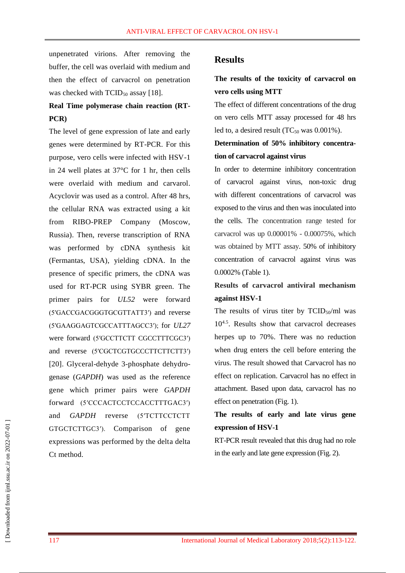unpenetrated virions. After removing the buffer, the cell was overlaid with medium and then the effect of carvacrol on penetration was checked with  $TCID_{50}$  assay [18].

## **Real Time polymerase chain reaction (RT-PCR)**

The level of gene expression of late and early genes were determined by RT-PCR. For this purpose, vero cells were infected with HSV-1 in 24 well plates at 37°C for 1 hr, then cells were overlaid with medium and carvarol. Acyclovir was used as a control. After 48 hrs, the cellular RNA was extracted using a kit from RIBO-PREP Company (Moscow, Russia). Then, reverse transcription of RNA was performed by cDNA synthesis kit (Fermantas, USA), yielding cDNA. In the presence of specific primers, the cDNA was used for RT-PCR using SYBR green. The primer pairs for *UL52* were forward (5′GACCGACGGGTGCGTTATT3′) and reverse (5′GAAGGAGTCGCCATTTAGCC3′); for *UL27* were forward (5'GCCTTCTT CGCCTTTCGC3') and reverse (5′CGCTCGTGCCCTTCTTCTT3′) [20]. Glyceral-dehyde 3-phosphate dehydrogenase (*GAPDH*) was used as the reference gene which primer pairs were *GAPDH* forward (5′CCCACTCCTCCACCTTTGAC3′) and *GAPDH* reverse (5′TCTTCCTCTT GTGCTCTTGC3′). Comparison of gene expressions was performed by the delta delta Ct method.

#### **Results**

## **The results of the toxicity of carvacrol on vero cells using MTT**

The effect of different concentrations of the drug on vero cells MTT assay processed for 48 hrs led to, a desired result  $(TC_{50}$  was  $0.001\%)$ .

### **Determination of 50% inhibitory concentration of carvacrol against virus**

In order to determine inhibitory concentration of carvacrol against virus, non-toxic drug with different concentrations of carvacrol was exposed to the virus and then was inoculated into the cells. The concentration range tested for carvacrol was up 0.00001% - 0.00075%, which was obtained by MTT assay. 50% of inhibitory concentration of carvacrol against virus was 0.0002% (Table 1).

## **Results of carvacrol antiviral mechanism against HSV-1**

The results of virus titer by  $TCID_{50}/ml$  was 10<sup>4.5</sup>. Results show that carvacrol decreases herpes up to 70%. There was no reduction when drug enters the cell before entering the virus. The result showed that Carvacrol has no effect on replication. Carvacrol has no effect in attachment. Based upon data, carvacrol has no effect on penetration (Fig. 1).

## **The results of early and late virus gene expression of HSV-1**

RT-PCR result revealed that this drug had no role in the early and late gene expression (Fig. 2).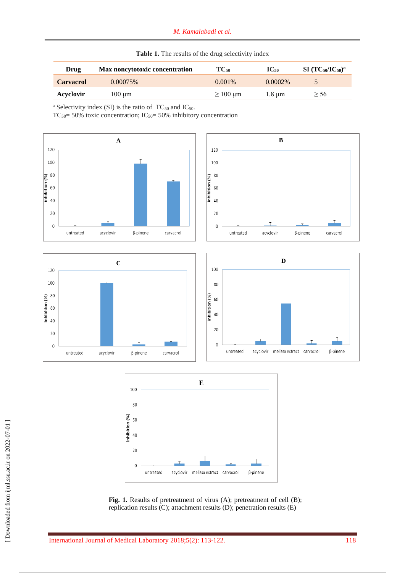| Drug             | Max noncytotoxic concentration | $TC_{50}$                   | $\mathbf{IC}_{50}$ | $SI(TC50/IC50)a$ |  |  |  |
|------------------|--------------------------------|-----------------------------|--------------------|------------------|--|--|--|
| <b>Carvacrol</b> | $0.00075\%$                    | $0.001\%$                   | $0.0002\%$         |                  |  |  |  |
| Acyclovir        | 100 um                         | $\geq 100 \,\mathrm{\mu m}$ | $1.8 \text{ µm}$   | > 56             |  |  |  |

| Table 1. The results of the drug selectivity index |  |  |  |  |  |
|----------------------------------------------------|--|--|--|--|--|
|----------------------------------------------------|--|--|--|--|--|

 $TC_{50} = 50\%$  toxic concentration;  $IC_{50} = 50\%$  inhibitory concentration







Fig. 1. Results of pretreatment of virus (A); pretreatment of cell (B); replication results (C); attachment results (D); penetration results (E)

<sup>&</sup>lt;sup>a</sup> Selectivity index (SI) is the ratio of  $TC_{50}$  and  $IC_{50}$ .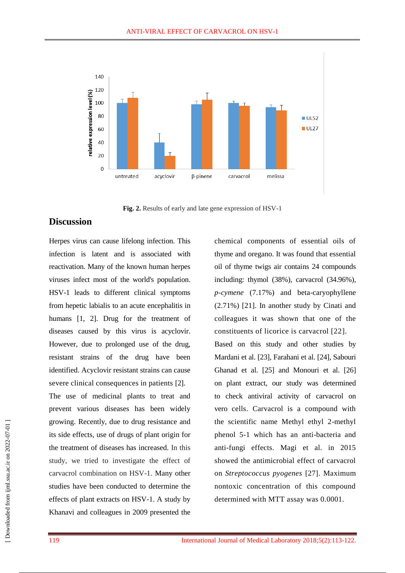

**Fig. 2.** Results of early and late gene expression of HSV-1

#### **Discussion**

Herpes virus can cause lifelong infection. This infection is latent and is associated with reactivation. Many of the known human herpes viruses infect most of the world's population. HSV-1 leads to different clinical symptoms from hepetic labialis to an acute encephalitis in humans [1, 2]. Drug for the treatment of diseases caused by this virus is acyclovir. However, due to prolonged use of the drug, resistant strains of the drug have been identified. Acyclovir resistant strains can cause severe clinical consequences in patients [2].

The use of medicinal plants to treat and prevent various diseases has been widely growing. Recently, due to drug resistance and its side effects, use of drugs of plant origin for the treatment of diseases has increased. In this study, we tried to investigate the effect of carvacrol combination on HSV-1. Many other studies have been conducted to determine the effects of plant extracts on HSV-1. A study by Khanavi and colleagues in 2009 presented the

chemical components of essential oils of thyme and oregano. It was found that essential oil of thyme twigs air contains 24 compounds including: thymol (38%), carvacrol (34.96%), *p-cymene* (7.17%) and beta-caryophyllene (2.71%) [21]. In another study by Cinati and colleagues it was shown that one of the constituents of licorice is carvacrol [22]. Based on this study and other studies by Mardani et al. [23], Farahani et al. [24], Sabouri Ghanad et al. [25] and Monouri et al. [26] on plant extract, our study was determined to check antiviral activity of carvacrol on vero cells. Carvacrol is a compound with the scientific name Methyl ethyl 2-methyl phenol 5-1 which has an anti-bacteria and anti-fungi effects. Magi et al. in 2015 showed the antimicrobial effect of carvacrol on *Streptococcus pyogenes* [27]. Maximum nontoxic concentration of this compound determined with MTT assay was 0.0001.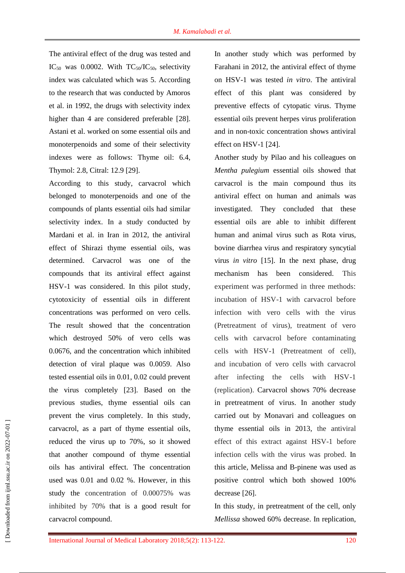The antiviral effect of the drug was tested and IC<sub>50</sub> was 0.0002. With  $TC_{50}/IC_{50}$ , selectivity index was calculated which was 5. According to the research that was conducted by Amoros et al. in 1992, the drugs with selectivity index higher than 4 are considered preferable [28]. Astani et al. worked on some essential oils and monoterpenoids and some of their selectivity indexes were as follows: Thyme oil: 6.4, Thymol: 2.8, Citral: 12.9 [29].

According to this study, carvacrol which belonged to monoterpenoids and one of the compounds of plants essential oils had similar selectivity index. In a study conducted by Mardani et al. in Iran in 2012, the antiviral effect of Shirazi thyme essential oils, was determined. Carvacrol was one of the compounds that its antiviral effect against HSV-1 was considered. In this pilot study, cytotoxicity of essential oils in different concentrations was performed on vero cells. The result showed that the concentration which destroyed 50% of vero cells was 0.0676, and the concentration which inhibited detection of viral plaque was 0.0059. Also tested essential oils in 0.01, 0.02 could prevent the virus completely [23]. Based on the previous studies, thyme essential oils can prevent the virus completely. In this study, carvacrol, as a part of thyme essential oils, reduced the virus up to 70%, so it showed that another compound of thyme essential oils has antiviral effect. The concentration used was 0.01 and 0.02 %. However, in this study the concentration of 0.00075% was inhibited by 70% that is a good result for carvacrol compound.

In another study which was performed by Farahani in 2012, the antiviral effect of thyme on HSV-1 was tested *in vitro*. The antiviral effect of this plant was considered by preventive effects of cytopatic virus. Thyme essential oils prevent herpes virus proliferation and in non-toxic concentration shows antiviral effect on HSV-1 [24].

Another study by Pilao and his colleagues on *Mentha pulegium* essential oils showed that carvacrol is the main compound thus its antiviral effect on human and animals was investigated. They concluded that these essential oils are able to inhibit different human and animal virus such as Rota virus, bovine diarrhea virus and respiratory syncytial virus *in vitro* [15]. In the next phase, drug mechanism has been considered. This experiment was performed in three methods: incubation of HSV-1 with carvacrol before infection with vero cells with the virus (Pretreatment of virus), treatment of vero cells with carvacrol before contaminating cells with HSV-1 (Pretreatment of cell), and incubation of vero cells with carvacrol after infecting the cells with HSV-1 (replication). Carvacrol shows 70% decrease in pretreatment of virus. In another study carried out by Monavari and colleagues on thyme essential oils in 2013, the antiviral effect of this extract against HSV-1 before infection cells with the virus was probed. In this article, Melissa and B-pinene was used as positive control which both showed 100% decrease [26].

In this study, in pretreatment of the cell, only *Mellissa* showed 60% decrease. In replication,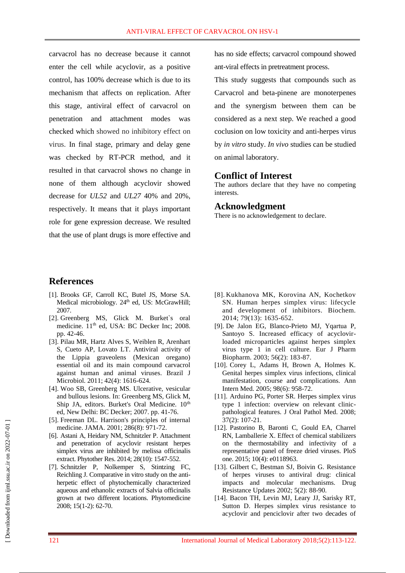carvacrol has no decrease because it cannot enter the cell while acyclovir, as a positive control, has 100% decrease which is due to its mechanism that affects on replication. After this stage, antiviral effect of carvacrol on penetration and attachment modes was checked which showed no inhibitory effect on virus. In final stage, primary and delay gene was checked by RT-PCR method, and it resulted in that carvacrol shows no change in none of them although acyclovir showed decrease for *UL52* and *UL27* 40% and 20%, respectively. It means that it plays important role for gene expression decrease. We resulted that the use of plant drugs is more effective and has no side effects; carvacrol compound showed ant-viral effects in pretreatment process.

This study suggests that compounds such as Carvacrol and beta-pinene are monoterpenes and the synergism between them can be considered as a next step. We reached a good coclusion on low toxicity and anti-herpes virus by *in vitro* study. *In vivo* studies can be studied on animal laboratory.

#### **Conflict of Interest**

The authors declare that they have no competing interests.

#### **Acknowledgment**

There is no acknowledgement to declare.

#### **References**

- [1]. Brooks GF, Carroll KC, Butel JS, Morse SA. Medical microbiology. 24<sup>th</sup> ed, US: McGrawHill; 2007.
- [2]. Greenberg MS, Glick M. Burket`s oral medicine. 11<sup>th</sup> ed, USA: BC Decker Inc; 2008. pp. 42-46.
- [3]. Pilau MR, Hartz Alves S, Weiblen R, Arenhart S, Cueto AP, Lovato LT. Antiviral activity of the Lippia graveolens (Mexican oregano) essential oil and its main compound carvacrol against human and animal viruses. Brazil J Microbiol. 2011; 42(4): 1616-624.
- [4]. Woo SB, Greenberg MS. Ulcerative, vesicular and bullous lesions. In: Greenberg MS, Glick M, Ship JA, editors. Burket's Oral Medicine. 10<sup>th</sup> ed, New Delhi: BC Decker; 2007. pp. 41-76.
- [5]. Freeman DL. Harrison's principles of internal medicine. JAMA. 2001; 286(8): 971-72.
- [6]. Astani A, Heidary NM, Schnitzler P. Attachment and penetration of acyclovir resistant herpes simplex virus are inhibited by melissa officinalis extract. [Phytother Res.](https://www.ncbi.nlm.nih.gov/pubmed/24817544) 2014; 28(10): 1547-552.
- [7]. Schnitzler P, Nolkemper S, Stintzing FC, Reichling J. Comparative in vitro study on the antiherpetic effect of phytochemically characterized aqueous and ethanolic extracts of Salvia officinalis grown at two different locations. Phytomedicine 2008; 15(1-2): 62-70.
- [8]. Kukhanova MK, Korovina AN, Kochetkov SN. Human herpes simplex virus: lifecycle and development of inhibitors. Biochem. 2014; 79(13): 1635-652.
- [9]. De Jalon EG, Blanco-Prieto MJ, Yqartua P, Santoyo S. Increased efficacy of acyclovirloaded microparticles against herpes simplex virus type 1 in cell culture. Eur J Pharm Biopharm. 2003; 56(2): 183-87.
- [10]. Corey L, Adams H, Brown A, Holmes K. Genital herpes simplex virus infections, clinical manifestation, course and complications. Ann Intern Med. 2005; 98(6): 958-72.
- [11]. Arduino PG, Porter SR. Herpes simplex virus type 1 infection: overview on relevant clinicpathological features. J Oral Pathol Med. 2008; 37(2): 107-21.
- [12]. Pastorino B, Baronti C, Gould EA, Charrel RN, Lamballerie X. Effect of chemical stabilizers on the thermostability and infectivity of a representative panel of freeze dried viruses. PloS one. 2015; 10(4): e0118963.
- [13]. Gilbert C, Bestman SJ, Boivin G. Resistance of herpes viruses to antiviral drug: clinical impacts and molecular mechanisms. Drug Resistance Updates 2002; 5(2): 88-90.
- [14]. Bacon TH, Levin MJ, Leary JJ, Sarisky RT, Sutton D. Herpes simplex virus resistance to acyclovir and penciclovir after two decades of